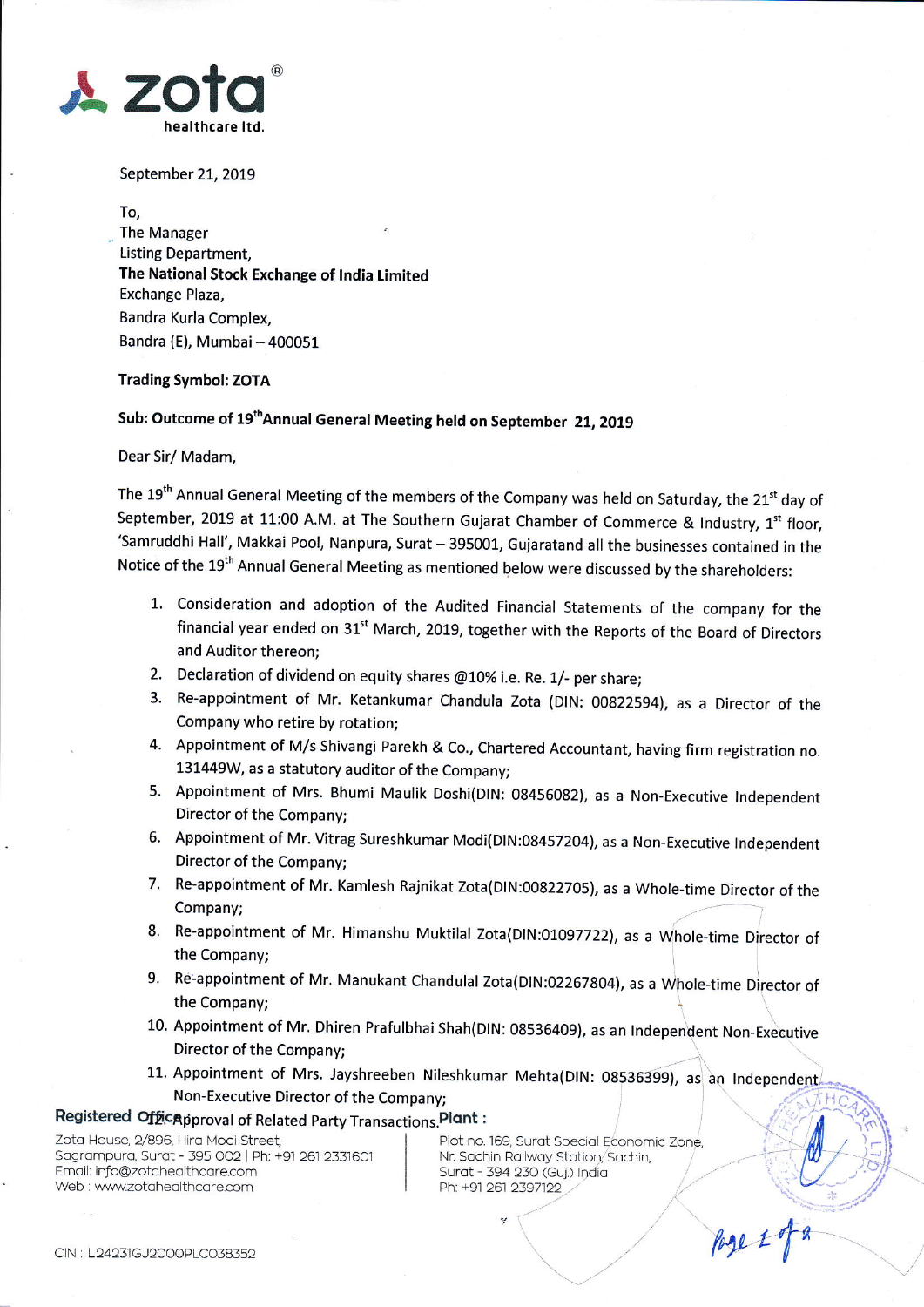

September 21, 2019

To,

The Manager Listing Department, The National Stock Exchange of lndia Limited Exchange Plaza, Bandra Kurla Complex, Bandra (E), Mumbai - 400051

## Trading Symbol: ZOTA

## Sub: Outcome of 19<sup>th</sup>Annual General Meeting held on September 21, 2019

Dear Sir/ Madam,

The 19<sup>th</sup> Annual General Meeting of the members of the Company was held on Saturday, the 21<sup>st</sup> day of September, 2019 at 11:00 A.M. at The Southern Gujarat Chamber of Commerce & Industry,  $1^{st}$  floor, 'Samruddhi Hall', Makkai Pool, Nanpura, Surat - 395001, Gujaratand all the businesses contained in the Notice of the 19<sup>th</sup> Annual General Meeting as mentioned below were discussed by the shareholders:

- 1. Consideration and adoption of the Audited Financial Statements of the company for the financial year ended on 31<sup>st</sup> March, 2019, together with the Reports of the Board of Directors and Auditor thereon;
- 2. Declaration of dividend on equity shares  $@10\%$  i.e. Re. 1/- per share;
- 3. Re-appointment of Mr. Ketankumar chandula zota (DlN: oog225g4l, as a Director of the Company who retire by rotation;
- 4. Appointment of M/s shivangi Parekh & Co., Chartered Accountant, having firm registration no. 131449W, as a statutory auditor of the Company;
- 5. Appointment of Mrs. Bhumi Maulik Doshi(DIN: 08456082), as a Non-Executive Independent Director of the Company;
- 6. Appointment of Mr. Vitrag Sureshkumar Modi(DIN:08457204), as a Non-Executive Independent Director of the Company;
- 7. Re-appointment of Mr. Kamlesh Rajnikat zota(DlN:00822705), as a whole-time Director of the Company;
- Re-appointment of Mr. Himanshu Muktilal Zota(DlN iO1Og7722), as a Whole\_time Director of the Company;
- 9. Re-appointment of Mr. Manukant Chandulal Zota(DIN:02267804), as a Whole-time Director of the Company;
- 10. Appointment of Mr. Dhiren Prafulbhai Shah(DIN: 08536409), as an Independent Non-Executive Director of the Company;
- 11. Appointment of Mrs. Jayshreeben Nileshkumar Mehta(DIN: 08536399), as an Independent Non-Executive Director of the Company;

ri

## Registered Officapproval of Related Party Transactions. Plant:

loro -oLSe 2t896. - ra \4od Slreer. I Pjot Fo. 169, Su.o[ Specro fco-ornic Zone, Sogrompuro, Surot - 395 OO2 Phr +91 261 233t6ol I Nr Sochin Roilwoy dtqtion; Sochin, I E-not info@zotoheo L^corecom I s-r.i-:s< iio ('c:;i;;-"- Web : www.zotahealthcare.com